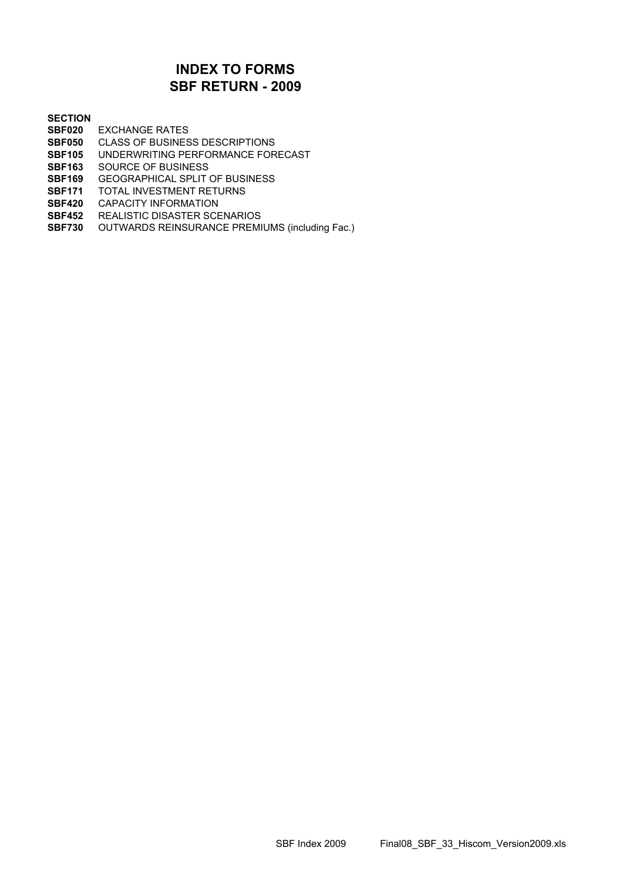# **SBF RETURN - 2009 INDEX TO FORMS**

#### **SECTION**

- **SBF020** EXCHANGE RATES
- **SBF050** CLASS OF BUSINESS DESCRIPTIONS
- **SBF105** UNDERWRITING PERFORMANCE FORECAST
- **SBF163** SOURCE OF BUSINESS
- **SBF169** GEOGRAPHICAL SPLIT OF BUSINESS
- **SBF171** TOTAL INVESTMENT RETURNS
- **SBF420** CAPACITY INFORMATION
- **SBF452** REALISTIC DISASTER SCENARIOS
- **SBF730** OUTWARDS REINSURANCE PREMIUMS (including Fac.)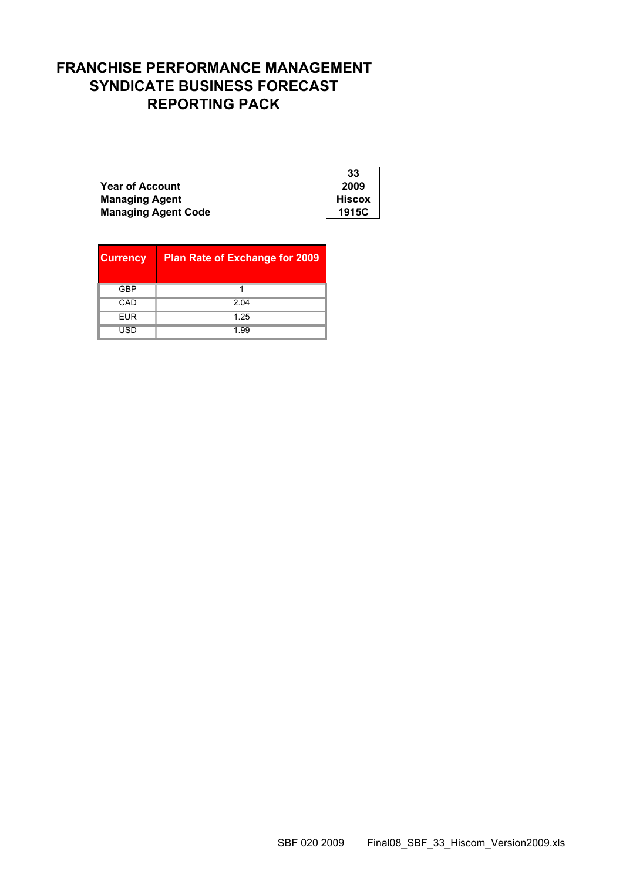# **FRANCHISE PERFORMANCE MANAGEMENT SYNDICATE BUSINESS FORECAST REPORTING PACK**

**Year of Account Managing Agent Managing Agent Code** 

| 33     |
|--------|
| 2009   |
| Hiscox |
| 1915C  |

| <b>Currency</b> | <b>Plan Rate of Exchange for 2009</b> |
|-----------------|---------------------------------------|
| GBP             |                                       |
| CAD             | 2.04                                  |
| <b>EUR</b>      | 1.25                                  |
| USD             | 1.99                                  |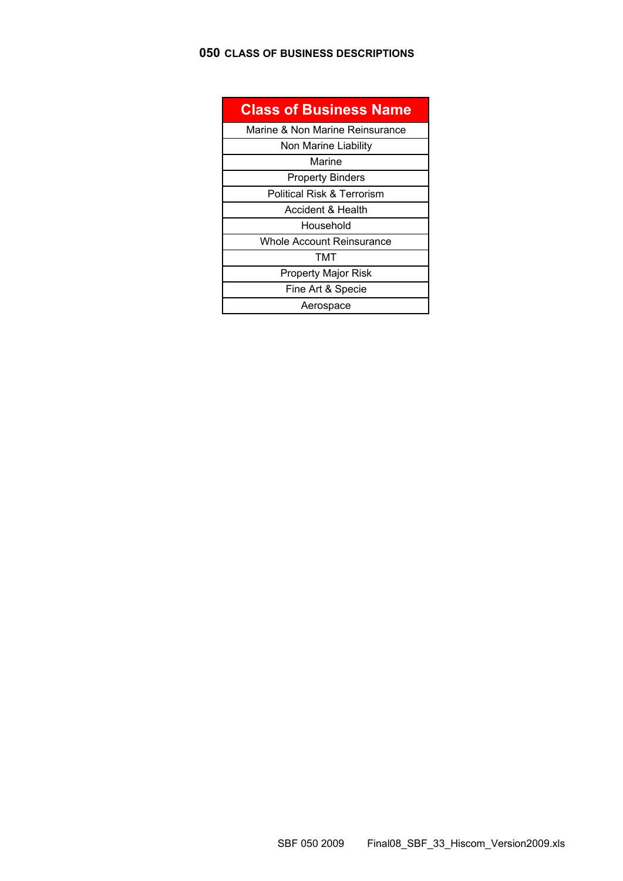# **050 CLASS OF BUSINESS DESCRIPTIONS**

| <b>Class of Business Name</b>   |
|---------------------------------|
| Marine & Non Marine Reinsurance |
| Non Marine Liability            |
| Marine                          |
| <b>Property Binders</b>         |
| Political Risk & Terrorism      |
| Accident & Health               |
| Household                       |
| Whole Account Reinsurance       |
| тмт                             |
| <b>Property Major Risk</b>      |
| Fine Art & Specie               |
| Aerospace                       |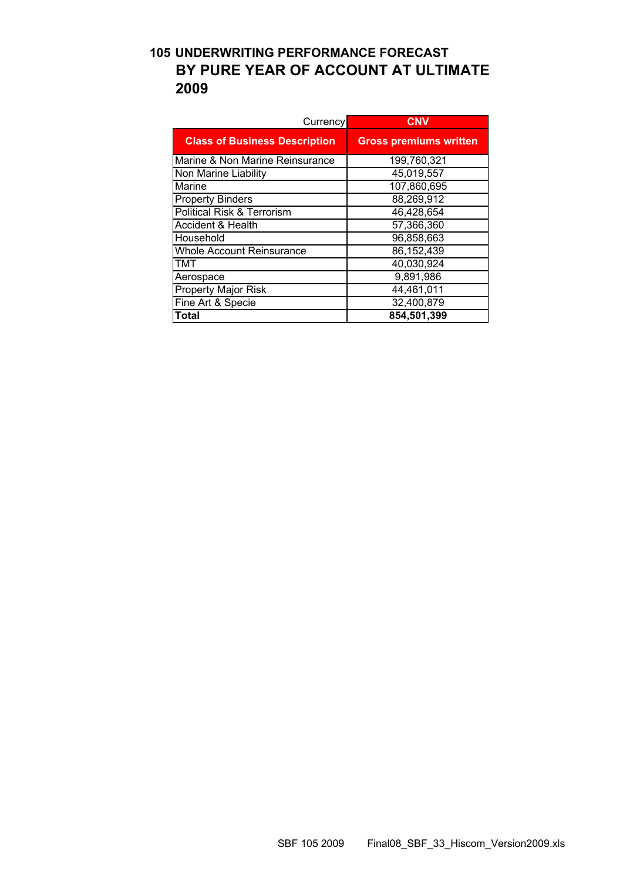# **105 UNDERWRITING PERFORMANCE FORECAST BY PURE YEAR OF ACCOUNT AT ULTIMATE 2009**

| Currency                             | <b>CNV</b>                    |
|--------------------------------------|-------------------------------|
| <b>Class of Business Description</b> | <b>Gross premiums written</b> |
| Marine & Non Marine Reinsurance      | 199,760,321                   |
| Non Marine Liability                 | 45,019,557                    |
| Marine                               | 107,860,695                   |
| <b>Property Binders</b>              | 88,269,912                    |
| Political Risk & Terrorism           | 46,428,654                    |
| Accident & Health                    | 57,366,360                    |
| Household                            | 96,858,663                    |
| <b>Whole Account Reinsurance</b>     | 86,152,439                    |
| TMT                                  | 40,030,924                    |
| Aerospace                            | 9,891,986                     |
| <b>Property Major Risk</b>           | 44,461,011                    |
| Fine Art & Specie                    | 32,400,879                    |
| Total                                | 854,501,399                   |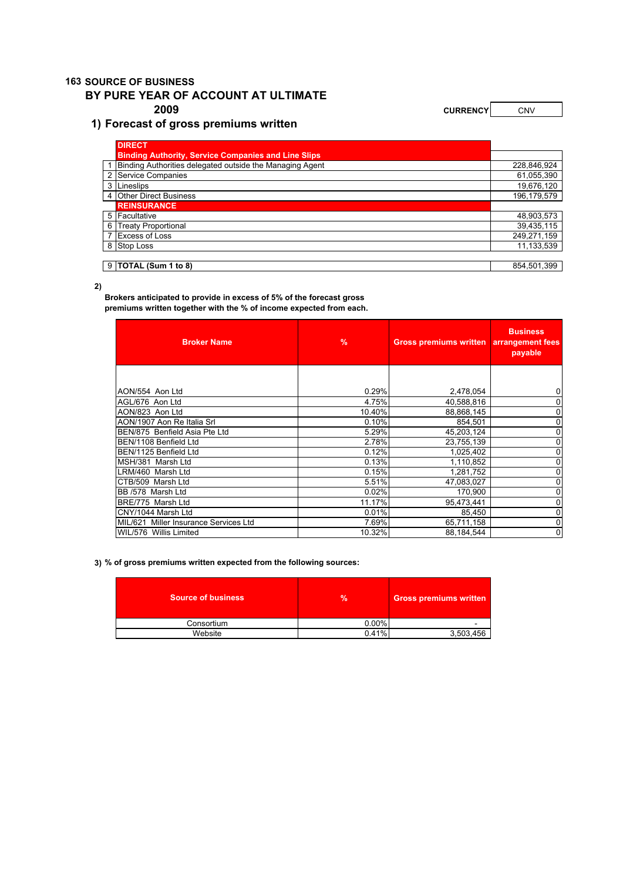#### **163 SOURCE OF BUSINESS**

#### **BY PURE YEAR OF ACCOUNT AT ULTIMATE**

#### **1) Forecast of gross premiums written**

**2009 CURRENCY CURRENCY CNV** 

| <b>DIRECT</b>                                              |             |
|------------------------------------------------------------|-------------|
| <b>Binding Authority, Service Companies and Line Slips</b> |             |
| Binding Authorities delegated outside the Managing Agent   | 228,846,924 |
| 2 Service Companies                                        | 61,055,390  |
| 3 Lineslips                                                | 19,676,120  |
| 4 Other Direct Business                                    | 196,179,579 |
| <b>REINSURANCE</b>                                         |             |
| 5 Facultative                                              | 48,903,573  |
| 6 Treaty Proportional                                      | 39,435,115  |
| 7 Excess of Loss                                           | 249,271,159 |
| 8 Stop Loss                                                | 11,133,539  |
|                                                            |             |
| $9$ TOTAL (Sum 1 to 8)                                     | 854,501,399 |

#### **2)**

**Brokers anticipated to provide in excess of 5% of the forecast gross premiums written together with the % of income expected from each.** 

| <b>Broker Name</b>                    | $\frac{9}{6}$ | <b>Gross premiums written</b> | <b>Business</b><br>arrangement fees<br>payable |
|---------------------------------------|---------------|-------------------------------|------------------------------------------------|
|                                       |               |                               |                                                |
| AON/554 Aon Ltd                       | 0.29%         | 2,478,054                     | 0                                              |
| AGL/676 Aon Ltd                       | 4.75%         | 40,588,816                    | 0                                              |
| AON/823 Aon Ltd                       | 10.40%        | 88,868,145                    | 0                                              |
| IAON/1907 Aon Re Italia Srl           | 0.10%         | 854,501                       | 0                                              |
| BEN/875 Benfield Asia Pte Ltd         | 5.29%         | 45,203,124                    | 0                                              |
| BEN/1108 Benfield Ltd                 | 2.78%         | 23,755,139                    | 0                                              |
| BEN/1125 Benfield Ltd                 | 0.12%         | 1,025,402                     | 0                                              |
| MSH/381 Marsh Ltd                     | 0.13%         | 1,110,852                     | 0                                              |
| LRM/460 Marsh Ltd                     | 0.15%         | 1,281,752                     | 0                                              |
| CTB/509 Marsh Ltd                     | 5.51%         | 47,083,027                    | 0                                              |
| BB /578 Marsh Ltd                     | 0.02%         | 170,900                       | 0                                              |
| BRE/775 Marsh Ltd                     | 11.17%        | 95,473,441                    | 0                                              |
| CNY/1044 Marsh Ltd                    | 0.01%         | 85,450                        | 0                                              |
| MIL/621 Miller Insurance Services Ltd | 7.69%         | 65,711,158                    | 0                                              |
| WIL/576 Willis Limited                | 10.32%        | 88,184,544                    | 0                                              |

**3) % of gross premiums written expected from the following sources:**

| <b>Source of business</b> | $\frac{9}{6}$ | Gross premiums written' |
|---------------------------|---------------|-------------------------|
| Consortium                | $0.00\%$      | -                       |
| Website                   | 0.41%         | 3,503,456               |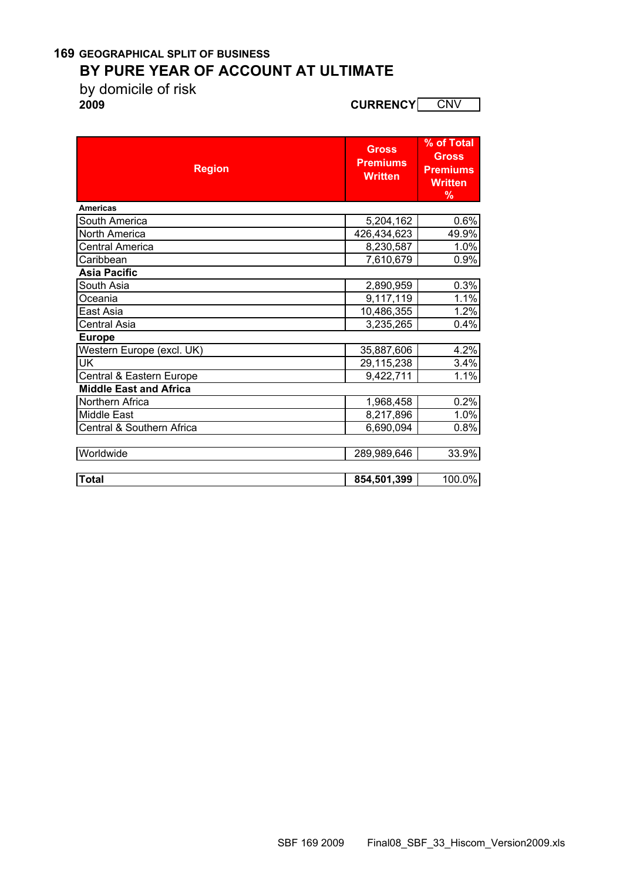### **169 GEOGRAPHICAL SPLIT OF BUSINESS BY PURE YEAR OF ACCOUNT AT ULTIMATE**

by domicile of risk

**2009 CURRENCY** CNV

| <b>Region</b>                 | <b>Gross</b><br><b>Premiums</b><br><b>Written</b> | % of Total<br><b>Gross</b><br><b>Premiums</b><br><b>Written</b><br>$\frac{9}{6}$ |
|-------------------------------|---------------------------------------------------|----------------------------------------------------------------------------------|
| <b>Americas</b>               |                                                   |                                                                                  |
| South America                 | 5,204,162                                         | 0.6%                                                                             |
| <b>North America</b>          | 426,434,623                                       | 49.9%                                                                            |
| Central America               | 8,230,587                                         | 1.0%                                                                             |
| Caribbean                     | 7,610,679                                         | 0.9%                                                                             |
| <b>Asia Pacific</b>           |                                                   |                                                                                  |
| South Asia                    | 2,890,959                                         | 0.3%                                                                             |
| Oceania                       | 9,117,119                                         | 1.1%                                                                             |
| East Asia                     | 10,486,355                                        | 1.2%                                                                             |
| <b>Central Asia</b>           | 3,235,265                                         | 0.4%                                                                             |
| <b>Europe</b>                 |                                                   |                                                                                  |
| Western Europe (excl. UK)     | 35,887,606                                        | 4.2%                                                                             |
| <b>UK</b>                     | 29,115,238                                        | 3.4%                                                                             |
| Central & Eastern Europe      | 9,422,711                                         | 1.1%                                                                             |
| <b>Middle East and Africa</b> |                                                   |                                                                                  |
| Northern Africa               | 1,968,458                                         | 0.2%                                                                             |
| <b>Middle East</b>            | 8,217,896                                         | 1.0%                                                                             |
| Central & Southern Africa     | 6,690,094                                         | 0.8%                                                                             |
| Worldwide                     | 289,989,646                                       | 33.9%                                                                            |
| <b>Total</b>                  | 854,501,399                                       | 100.0%                                                                           |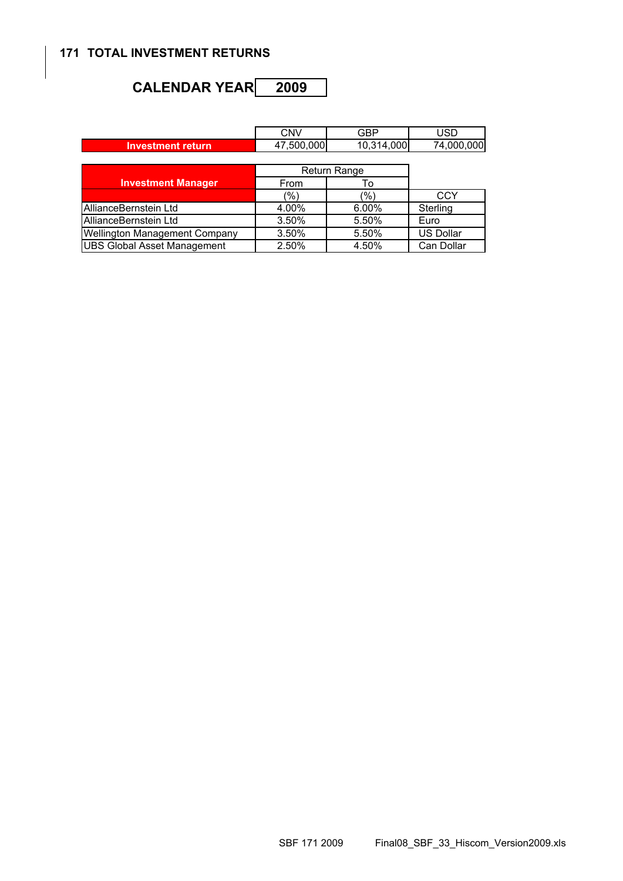#### **171 TOTAL INVESTMENT RETURNS**

# CALENDAR YEAR<sup>2009</sup>

|                                      | <b>CNV</b>               | GBP          | <b>USD</b>       |
|--------------------------------------|--------------------------|--------------|------------------|
| <b>Investment return</b>             | 47,500,000<br>10,314,000 |              | 74,000,000       |
|                                      |                          |              |                  |
|                                      |                          | Return Range |                  |
| <b>Investment Manager</b>            | From                     | To           |                  |
|                                      | (%)                      | (%)          | <b>CCY</b>       |
| AllianceBernstein Ltd                | 4.00%                    | 6.00%        | Sterling         |
| AllianceBernstein Ltd                | 3.50%                    | 5.50%        | Euro             |
| <b>Wellington Management Company</b> | 3.50%                    | 5.50%        | <b>US Dollar</b> |
| <b>UBS Global Asset Management</b>   | 2.50%                    | 4.50%        | Can Dollar       |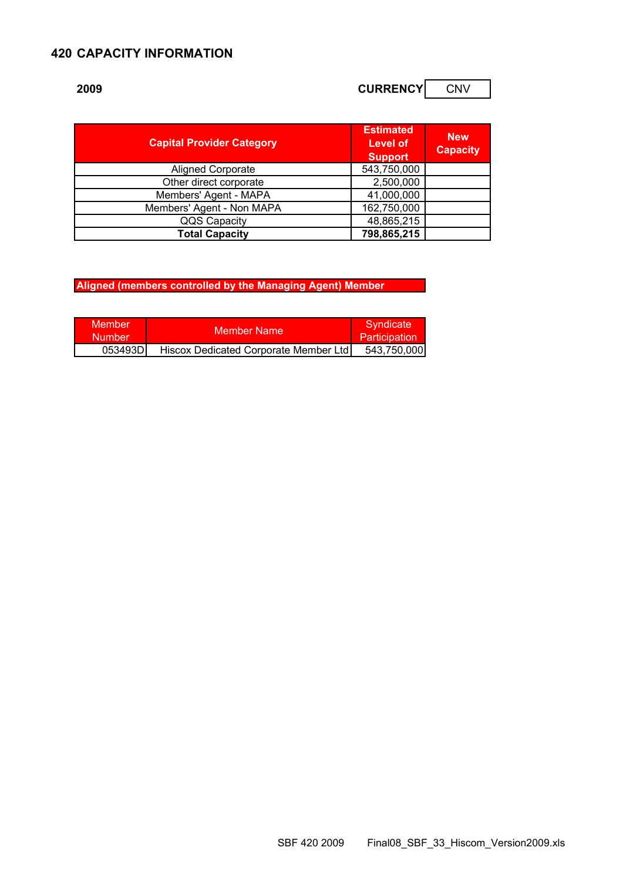#### **420 CAPACITY INFORMATION**

# **2009 CURRENCY** CNV

| <b>Capital Provider Category</b> | <b>Estimated</b><br><b>Level of</b><br><b>Support</b> | <b>New</b><br><b>Capacity</b> |
|----------------------------------|-------------------------------------------------------|-------------------------------|
| <b>Aligned Corporate</b>         | 543,750,000                                           |                               |
| Other direct corporate           | 2,500,000                                             |                               |
| Members' Agent - MAPA            | 41,000,000                                            |                               |
| Members' Agent - Non MAPA        | 162,750,000                                           |                               |
| QQS Capacity                     | 48,865,215                                            |                               |
| <b>Total Capacity</b>            | 798,865,215                                           |                               |

**Aligned (members controlled by the Managing Agent) Member** 

| Member<br><b>Number</b> | Member Name                           | Syndicate<br><b>Participation</b> |
|-------------------------|---------------------------------------|-----------------------------------|
| 053493D                 | Hiscox Dedicated Corporate Member Ltd | 543,750,000                       |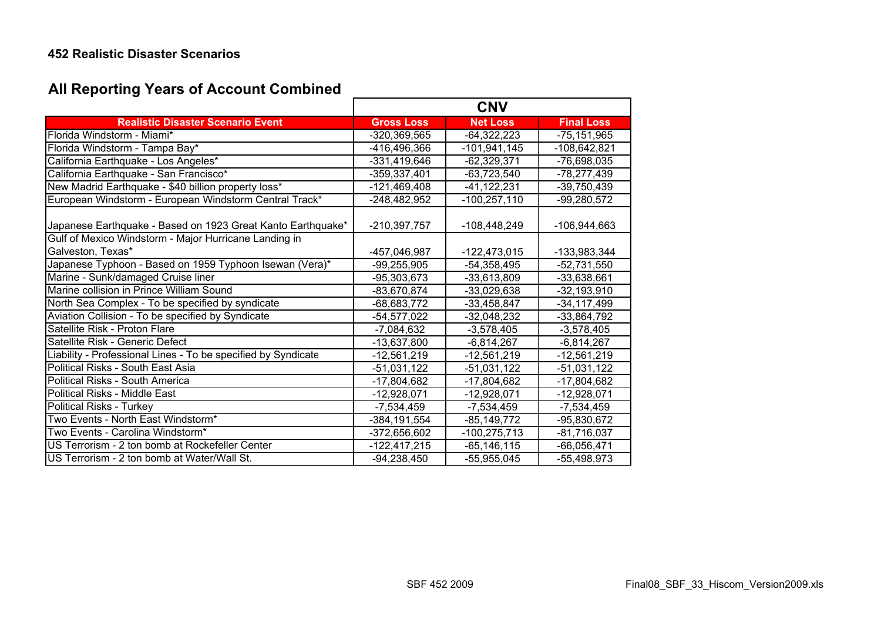### **452 Realistic Disaster Scenarios**

# **All Reporting Years of Account Combined**

|                                                               |                   | <b>CNV</b>      |                   |
|---------------------------------------------------------------|-------------------|-----------------|-------------------|
| <b>Realistic Disaster Scenario Event</b>                      | <b>Gross Loss</b> | <b>Net Loss</b> | <b>Final Loss</b> |
| Florida Windstorm - Miami*                                    | $-320,369,565$    | $-64,322,223$   | $-75, 151, 965$   |
| Florida Windstorm - Tampa Bay*                                | -416,496,366      | $-101,941,145$  | $-108,642,821$    |
| California Earthquake - Los Angeles*                          | -331,419,646      | $-62,329,371$   | -76,698,035       |
| California Earthquake - San Francisco*                        | $-359,337,401$    | $-63,723,540$   | $-78,277,439$     |
| New Madrid Earthquake - \$40 billion property loss*           | $-121,469,408$    | $-41, 122, 231$ | $-39,750,439$     |
| European Windstorm - European Windstorm Central Track*        | $-248,482,952$    | $-100,257,110$  | $-99,280,572$     |
| Japanese Earthquake - Based on 1923 Great Kanto Earthquake*   | $-210,397,757$    | -108,448,249    | -106,944,663      |
| Gulf of Mexico Windstorm - Major Hurricane Landing in         |                   |                 |                   |
| Galveston, Texas*                                             | -457,046,987      | $-122,473,015$  | -133,983,344      |
| Japanese Typhoon - Based on 1959 Typhoon Isewan (Vera)*       | $-99,255,905$     | $-54,358,495$   | $-52,731,550$     |
| Marine - Sunk/damaged Cruise liner                            | $-95,303,673$     | $-33,613,809$   | $-33,638,661$     |
| Marine collision in Prince William Sound                      | $-83,670,874$     | $-33,029,638$   | $-32,193,910$     |
| North Sea Complex - To be specified by syndicate              | $-68,683,772$     | $-33,458,847$   | $-34, 117, 499$   |
| Aviation Collision - To be specified by Syndicate             | $-54,577,022$     | $-32,048,232$   | $-33,864,792$     |
| Satellite Risk - Proton Flare                                 | $-7,084,632$      | $-3,578,405$    | $-3,578,405$      |
| Satellite Risk - Generic Defect                               | $-13,637,800$     | $-6,814,267$    | $-6,814,267$      |
| Liability - Professional Lines - To be specified by Syndicate | $-12,561,219$     | $-12,561,219$   | $-12,561,219$     |
| Political Risks - South East Asia                             | $-51,031,122$     | $-51,031,122$   | $-51,031,122$     |
| Political Risks - South America                               | $-17,804,682$     | $-17,804,682$   | $-17,804,682$     |
| Political Risks - Middle East                                 | $-12,928,071$     | $-12,928,071$   | $-12,928,071$     |
| Political Risks - Turkey                                      | $-7,534,459$      | $-7,534,459$    | $-7,534,459$      |
| Two Events - North East Windstorm*                            | $-384, 191, 554$  | $-85, 149, 772$ | $-95,830,672$     |
| Two Events - Carolina Windstorm*                              | $-372,656,602$    | $-100,275,713$  | $-81,716,037$     |
| US Terrorism - 2 ton bomb at Rockefeller Center               | $-122,417,215$    | $-65, 146, 115$ | $-66,056,471$     |
| US Terrorism - 2 ton bomb at Water/Wall St.                   | $-94,238,450$     | $-55,955,045$   | $-55,498,973$     |